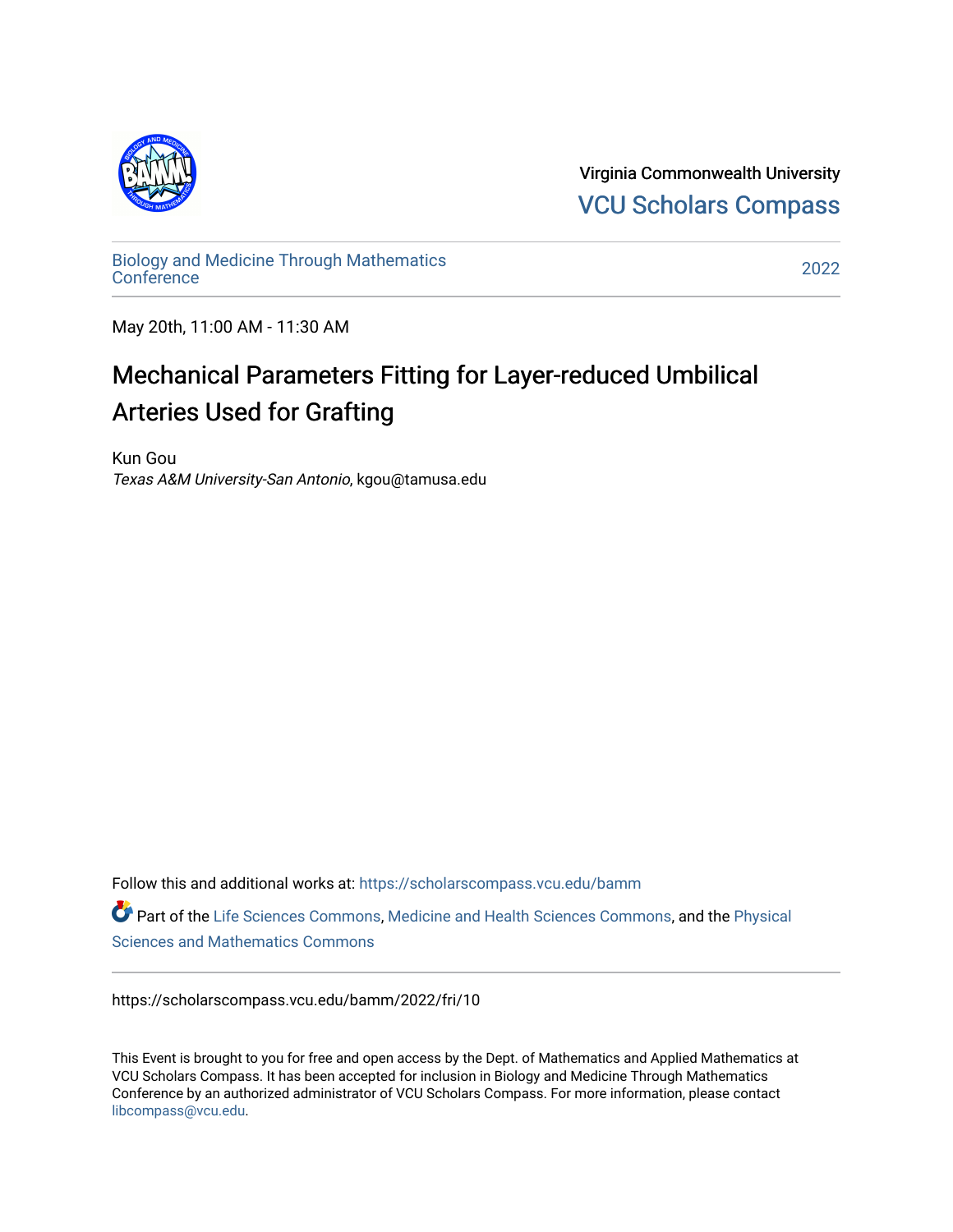

Virginia Commonwealth University [VCU Scholars Compass](https://scholarscompass.vcu.edu/) 

[Biology and Medicine Through Mathematics](https://scholarscompass.vcu.edu/bamm)  [Conference](https://scholarscompass.vcu.edu/bamm) [2022](https://scholarscompass.vcu.edu/bamm/2022) 

May 20th, 11:00 AM - 11:30 AM

# Mechanical Parameters Fitting for Layer-reduced Umbilical Arteries Used for Grafting

Kun Gou Texas A&M University-San Antonio, kgou@tamusa.edu

Follow this and additional works at: [https://scholarscompass.vcu.edu/bamm](https://scholarscompass.vcu.edu/bamm?utm_source=scholarscompass.vcu.edu%2Fbamm%2F2022%2Ffri%2F10&utm_medium=PDF&utm_campaign=PDFCoverPages)

Part of the [Life Sciences Commons,](http://network.bepress.com/hgg/discipline/1016?utm_source=scholarscompass.vcu.edu%2Fbamm%2F2022%2Ffri%2F10&utm_medium=PDF&utm_campaign=PDFCoverPages) [Medicine and Health Sciences Commons,](http://network.bepress.com/hgg/discipline/648?utm_source=scholarscompass.vcu.edu%2Fbamm%2F2022%2Ffri%2F10&utm_medium=PDF&utm_campaign=PDFCoverPages) and the Physical [Sciences and Mathematics Commons](http://network.bepress.com/hgg/discipline/114?utm_source=scholarscompass.vcu.edu%2Fbamm%2F2022%2Ffri%2F10&utm_medium=PDF&utm_campaign=PDFCoverPages) 

https://scholarscompass.vcu.edu/bamm/2022/fri/10

This Event is brought to you for free and open access by the Dept. of Mathematics and Applied Mathematics at VCU Scholars Compass. It has been accepted for inclusion in Biology and Medicine Through Mathematics Conference by an authorized administrator of VCU Scholars Compass. For more information, please contact [libcompass@vcu.edu.](mailto:libcompass@vcu.edu)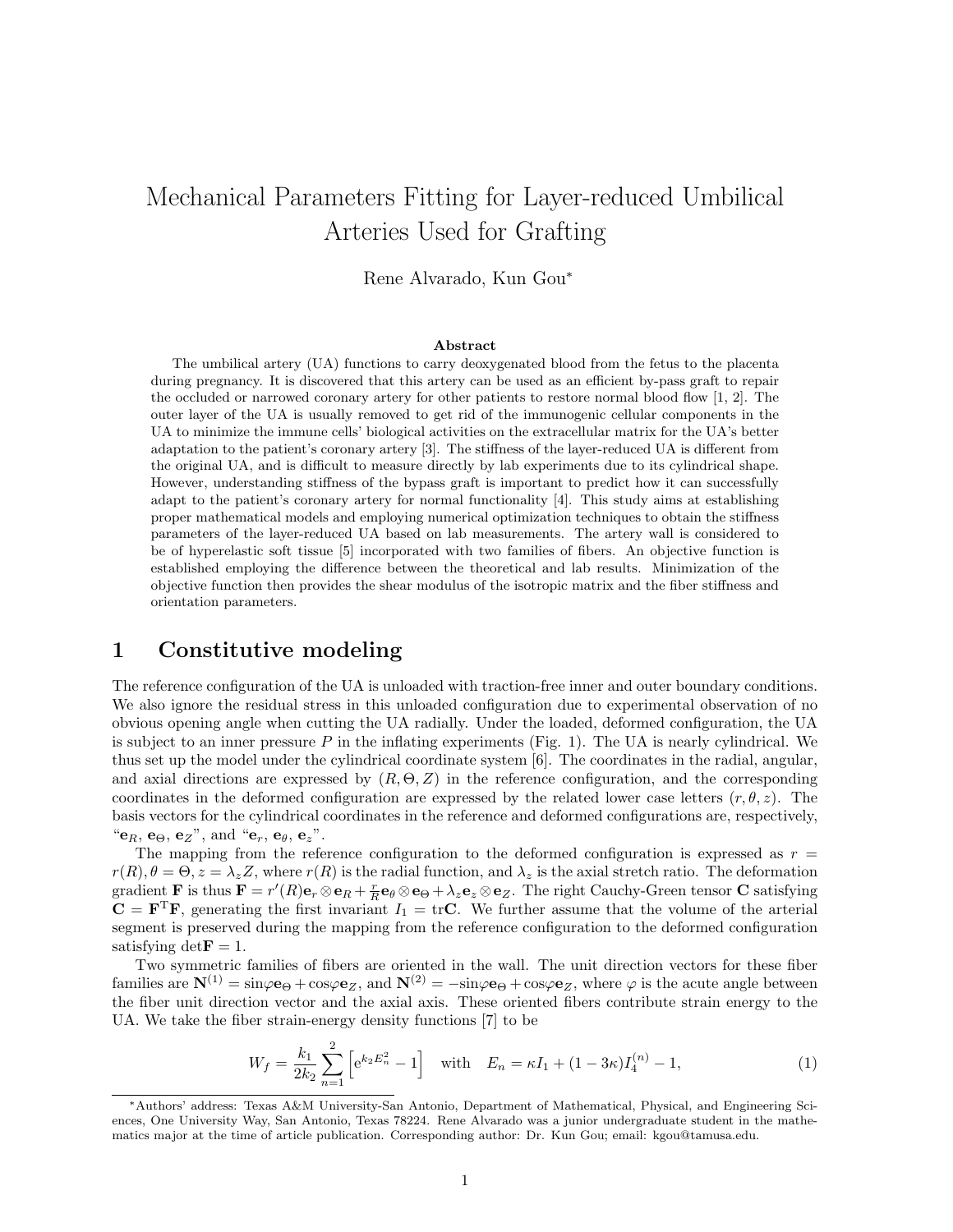## Mechanical Parameters Fitting for Layer-reduced Umbilical Arteries Used for Grafting

Rene Alvarado, Kun Gou<sup>∗</sup>

#### Abstract

The umbilical artery (UA) functions to carry deoxygenated blood from the fetus to the placenta during pregnancy. It is discovered that this artery can be used as an efficient by-pass graft to repair the occluded or narrowed coronary artery for other patients to restore normal blood flow [1, 2]. The outer layer of the UA is usually removed to get rid of the immunogenic cellular components in the UA to minimize the immune cells' biological activities on the extracellular matrix for the UA's better adaptation to the patient's coronary artery [3]. The stiffness of the layer-reduced UA is different from the original UA, and is difficult to measure directly by lab experiments due to its cylindrical shape. However, understanding stiffness of the bypass graft is important to predict how it can successfully adapt to the patient's coronary artery for normal functionality [4]. This study aims at establishing proper mathematical models and employing numerical optimization techniques to obtain the stiffness parameters of the layer-reduced UA based on lab measurements. The artery wall is considered to be of hyperelastic soft tissue [5] incorporated with two families of fibers. An objective function is established employing the difference between the theoretical and lab results. Minimization of the objective function then provides the shear modulus of the isotropic matrix and the fiber stiffness and orientation parameters.

### 1 Constitutive modeling

The reference configuration of the UA is unloaded with traction-free inner and outer boundary conditions. We also ignore the residual stress in this unloaded configuration due to experimental observation of no obvious opening angle when cutting the UA radially. Under the loaded, deformed configuration, the UA is subject to an inner pressure  $P$  in the inflating experiments (Fig. 1). The UA is nearly cylindrical. We thus set up the model under the cylindrical coordinate system [6]. The coordinates in the radial, angular, and axial directions are expressed by  $(R, \Theta, Z)$  in the reference configuration, and the corresponding coordinates in the deformed configuration are expressed by the related lower case letters  $(r, \theta, z)$ . The basis vectors for the cylindrical coordinates in the reference and deformed configurations are, respectively, " $e_R$ ,  $e_\Theta$ ,  $e_Z$ ", and " $e_r$ ,  $e_\theta$ ,  $e_z$ ".

The mapping from the reference configuration to the deformed configuration is expressed as  $r =$  $r(R)$ ,  $\theta = \Theta$ ,  $z = \lambda_z Z$ , where  $r(R)$  is the radial function, and  $\lambda_z$  is the axial stretch ratio. The deformation gradient **F** is thus  $\mathbf{F} = r'(R)\mathbf{e}_r \otimes \mathbf{e}_R + \frac{r}{R}\mathbf{e}_{\theta} \otimes \mathbf{e}_{\Theta} + \lambda_z \mathbf{e}_z \otimes \mathbf{e}_Z$ . The right Cauchy-Green tensor **C** satisfying  $C = F^T F$ , generating the first invariant  $I_1 = \text{tr} C$ . We further assume that the volume of the arterial segment is preserved during the mapping from the reference configuration to the deformed configuration satisfying  $\det F = 1$ .

Two symmetric families of fibers are oriented in the wall. The unit direction vectors for these fiber families are  $N^{(1)} = \sin\varphi \mathbf{e}_{\Theta} + \cos\varphi \mathbf{e}_Z$ , and  $N^{(2)} = -\sin\varphi \mathbf{e}_{\Theta} + \cos\varphi \mathbf{e}_Z$ , where  $\varphi$  is the acute angle between the fiber unit direction vector and the axial axis. These oriented fibers contribute strain energy to the UA. We take the fiber strain-energy density functions [7] to be

$$
W_f = \frac{k_1}{2k_2} \sum_{n=1}^{2} \left[ e^{k_2 E_n^2} - 1 \right] \quad \text{with} \quad E_n = \kappa I_1 + (1 - 3\kappa) I_4^{(n)} - 1,\tag{1}
$$

<sup>∗</sup>Authors' address: Texas A&M University-San Antonio, Department of Mathematical, Physical, and Engineering Sciences, One University Way, San Antonio, Texas 78224. Rene Alvarado was a junior undergraduate student in the mathematics major at the time of article publication. Corresponding author: Dr. Kun Gou; email: kgou@tamusa.edu.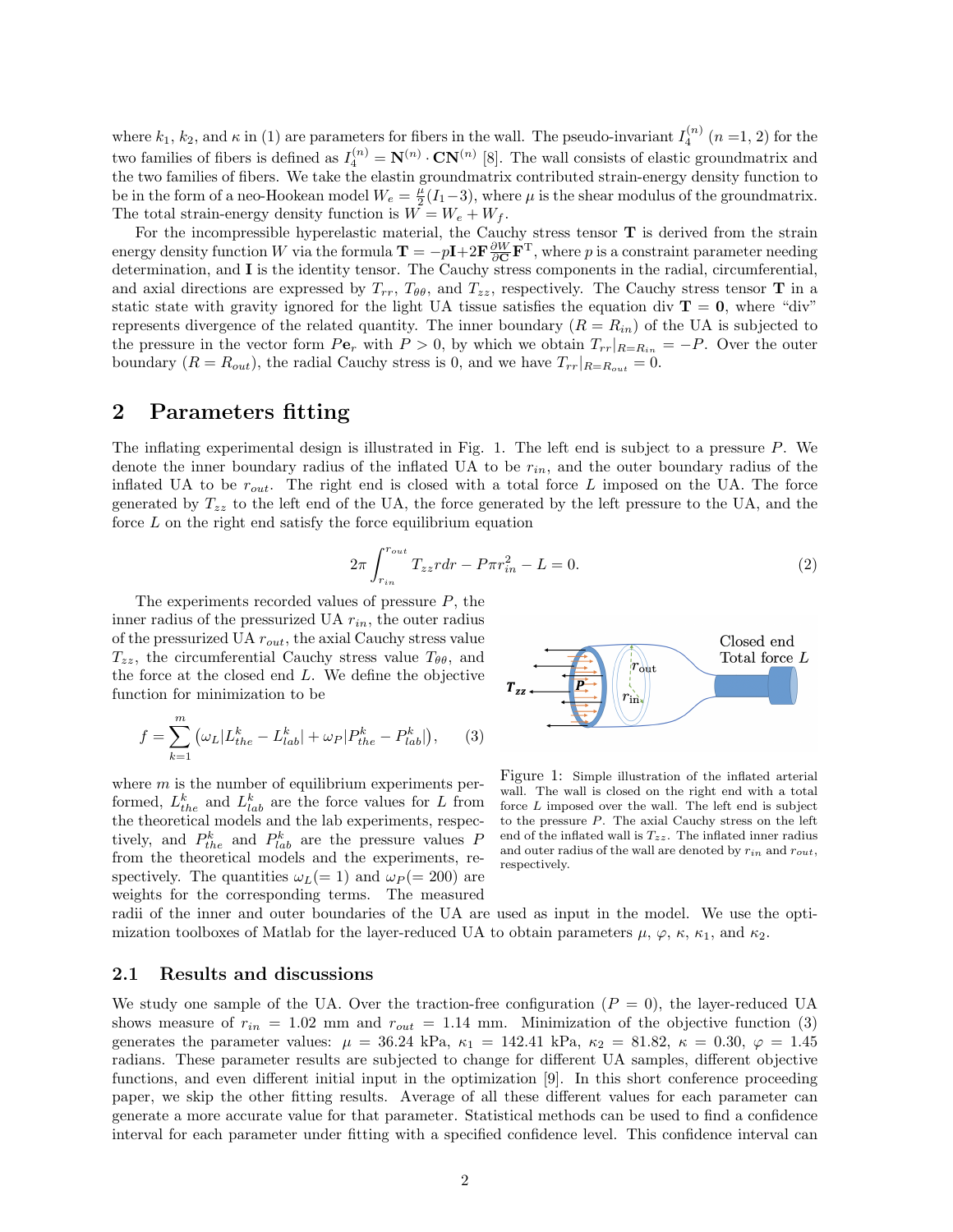where  $k_1, k_2$ , and  $\kappa$  in (1) are parameters for fibers in the wall. The pseudo-invariant  $I_4^{(n)}$   $(n = 1, 2)$  for the two families of fibers is defined as  $I_4^{(n)} = \mathbf{N}^{(n)} \cdot \mathbf{CN}^{(n)}$  [8]. The wall consists of elastic groundmatrix and the two families of fibers. We take the elastin groundmatrix contributed strain-energy density function to be in the form of a neo-Hookean model  $W_e = \frac{\mu}{2}(I_1-3)$ , where  $\mu$  is the shear modulus of the groundmatrix. The total strain-energy density function is  $W = W_e + W_f$ .

For the incompressible hyperelastic material, the Cauchy stress tensor  $T$  is derived from the strain energy density function W via the formula  $\mathbf{T} = -p\mathbf{I} + 2\mathbf{F}\frac{\partial W}{\partial \mathbf{C}}\mathbf{F}^{\mathrm{T}}$ , where p is a constraint parameter needing determination, and I is the identity tensor. The Cauchy stress components in the radial, circumferential, and axial directions are expressed by  $T_{rr}$ ,  $T_{\theta\theta}$ , and  $T_{zz}$ , respectively. The Cauchy stress tensor **T** in a static state with gravity ignored for the light UA tissue satisfies the equation div  $T = 0$ , where "div" represents divergence of the related quantity. The inner boundary  $(R = R_{in})$  of the UA is subjected to the pressure in the vector form  $Pe_r$  with  $P > 0$ , by which we obtain  $T_{rr}|_{R=R_{in}} = -P$ . Over the outer boundary  $(R = R_{out})$ , the radial Cauchy stress is 0, and we have  $T_{rr}|_{R=R_{out}} = 0$ .

#### 2 Parameters fitting

The inflating experimental design is illustrated in Fig. 1. The left end is subject to a pressure P. We denote the inner boundary radius of the inflated UA to be  $r_{in}$ , and the outer boundary radius of the inflated UA to be  $r_{out}$ . The right end is closed with a total force L imposed on the UA. The force generated by  $T_{zz}$  to the left end of the UA, the force generated by the left pressure to the UA, and the force  $L$  on the right end satisfy the force equilibrium equation

$$
2\pi \int_{r_{in}}^{r_{out}} T_{zz} r dr - P \pi r_{in}^2 - L = 0.
$$
 (2)

The experiments recorded values of pressure P, the inner radius of the pressurized UA  $r_{in}$ , the outer radius of the pressurized UA  $r_{out}$ , the axial Cauchy stress value  $T_{zz}$ , the circumferential Cauchy stress value  $T_{\theta\theta}$ , and the force at the closed end  $L$ . We define the objective function for minimization to be

$$
f = \sum_{k=1}^{m} (\omega_L | L_{the}^k - L_{lab}^k | + \omega_P | P_{the}^k - P_{lab}^k |), \qquad (3)
$$

where  $m$  is the number of equilibrium experiments performed,  $L_{the}^{k}$  and  $L_{lab}^{k}$  are the force values for L from the theoretical models and the lab experiments, respectively, and  $P_{the}^{k}$  and  $P_{lab}^{k}$  are the pressure values  $P$ from the theoretical models and the experiments, respectively. The quantities  $\omega_L(= 1)$  and  $\omega_P(= 200)$  are weights for the corresponding terms. The measured



Figure 1: Simple illustration of the inflated arterial wall. The wall is closed on the right end with a total force L imposed over the wall. The left end is subject to the pressure P. The axial Cauchy stress on the left end of the inflated wall is  $T_{zz}$ . The inflated inner radius and outer radius of the wall are denoted by  $r_{in}$  and  $r_{out}$ , respectively.

radii of the inner and outer boundaries of the UA are used as input in the model. We use the optimization toolboxes of Matlab for the layer-reduced UA to obtain parameters  $\mu$ ,  $\varphi$ ,  $\kappa$ ,  $\kappa_1$ , and  $\kappa_2$ .

#### 2.1 Results and discussions

We study one sample of the UA. Over the traction-free configuration  $(P = 0)$ , the layer-reduced UA shows measure of  $r_{in} = 1.02$  mm and  $r_{out} = 1.14$  mm. Minimization of the objective function (3) generates the parameter values:  $\mu = 36.24 \text{ kPa}, \kappa_1 = 142.41 \text{ kPa}, \kappa_2 = 81.82, \kappa = 0.30, \varphi = 1.45$ radians. These parameter results are subjected to change for different UA samples, different objective functions, and even different initial input in the optimization [9]. In this short conference proceeding paper, we skip the other fitting results. Average of all these different values for each parameter can generate a more accurate value for that parameter. Statistical methods can be used to find a confidence interval for each parameter under fitting with a specified confidence level. This confidence interval can